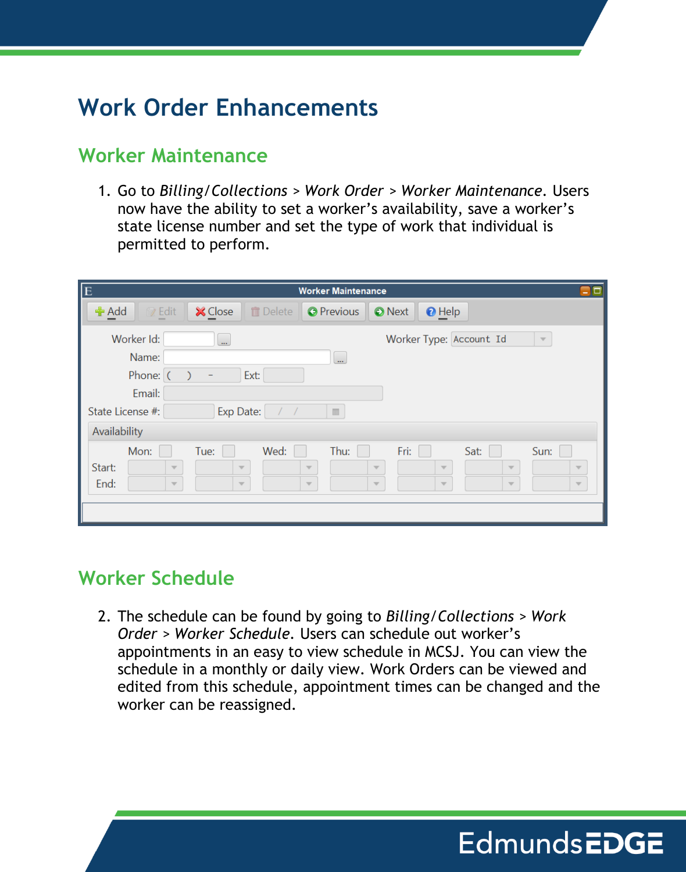# **Work Order Enhancements**

#### **Worker Maintenance**

1. Go to *Billing/Collections > Work Order > Worker Maintenance.* Users now have the ability to set a worker's availability, save a worker's state license number and set the type of work that individual is permitted to perform.

| $\overline{E}$ |                                           |                                                    |                |                                                            | <b>Worker Maintenance</b>                                  |                                                            |                                                    |                                                            |                                                            | ٩o |
|----------------|-------------------------------------------|----------------------------------------------------|----------------|------------------------------------------------------------|------------------------------------------------------------|------------------------------------------------------------|----------------------------------------------------|------------------------------------------------------------|------------------------------------------------------------|----|
| <b>←</b> Add   | 图 Edit                                    |                                                    | <b>X</b> Close | <b>m</b> Delete                                            | <b>O</b> Previous                                          | <b>O</b> Next                                              | <b>O</b> Help                                      |                                                            |                                                            |    |
|                | Worker Id:<br>Name:<br>Phone: (<br>Email: |                                                    | $\mathbf{u}$   | Ext:                                                       | u.                                                         |                                                            | Worker Type: Account Id                            |                                                            | $\overline{\mathcal{N}}$                                   |    |
| Availability   | State License #:                          |                                                    |                | Exp Date:<br>$\overline{\phantom{a}}$                      | $\overline{\rm m}$                                         |                                                            |                                                    |                                                            |                                                            |    |
| Start:<br>End: | Mon:                                      | $\overline{\mathbf{v}}$<br>$\overline{\mathbf{v}}$ | Tue:           | Wed:<br>$\overline{\mathbf{v}}$<br>$\overline{\mathbf{v}}$ | Thu:<br>$\overline{\mathbf{v}}$<br>$\overline{\mathbf{v}}$ | Fri:<br>$\overline{\mathbf{v}}$<br>$\overline{\mathbf{v}}$ | $\overline{\mathbf{v}}$<br>$\overline{\mathbf{v}}$ | Sat:<br>$\overline{\mathbf{w}}$<br>$\overline{\mathbf{v}}$ | Sun:<br>$\overline{\mathbf{v}}$<br>$\overline{\mathbf{v}}$ |    |

### **Worker Schedule**

2. The schedule can be found by going to *Billing/Collections > Work Order > Worker Schedule.* Users can schedule out worker's appointments in an easy to view schedule in MCSJ. You can view the schedule in a monthly or daily view. Work Orders can be viewed and edited from this schedule, appointment times can be changed and the worker can be reassigned.

**EdmundsEDGE**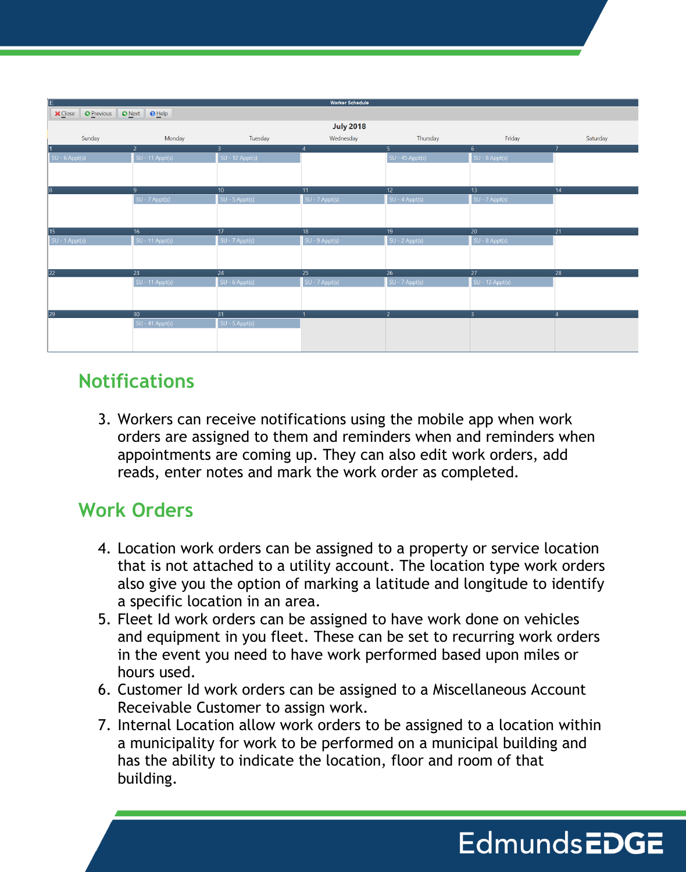|                  |                              |                   | <b>Worker Schedule</b> |                   |                   |                |  |  |  |  |  |  |
|------------------|------------------------------|-------------------|------------------------|-------------------|-------------------|----------------|--|--|--|--|--|--|
| <b>X</b> Close   | O Previous   O Next   O Help |                   |                        |                   |                   |                |  |  |  |  |  |  |
| <b>July 2018</b> |                              |                   |                        |                   |                   |                |  |  |  |  |  |  |
| Sunday           | Monday                       | Tuesday           | Wednesday              | Thursday          | Friday            | Saturday       |  |  |  |  |  |  |
|                  | $\overline{2}$               | 3                 | $\overline{4}$         | 5 <sub>1</sub>    | 6 <sup>1</sup>    | $\overline{7}$ |  |  |  |  |  |  |
| $SU - 6$ Appt(s) | $SU - 11$ Appt(s)            | $SU - 12$ Appt(s) |                        | $SU - 45$ Appt(s) | $SU - 8$ Appt(s)  |                |  |  |  |  |  |  |
|                  |                              |                   |                        |                   |                   |                |  |  |  |  |  |  |
|                  |                              |                   |                        |                   |                   |                |  |  |  |  |  |  |
|                  | 9                            | 10 <sub>1</sub>   | 11                     | 12 <sub>2</sub>   | 13                | 14             |  |  |  |  |  |  |
|                  | SU - 7 Appt(s)               | $SU - 5$ Appt(s)  | SU - 7 Appt(s)         | SU - 4 Appt(s)    | SU - 7 Appt(s)    |                |  |  |  |  |  |  |
|                  |                              |                   |                        |                   |                   |                |  |  |  |  |  |  |
|                  |                              |                   |                        |                   |                   |                |  |  |  |  |  |  |
| 15               | 16                           | 17                | 18                     | 19 <sup>°</sup>   | 20                | 21             |  |  |  |  |  |  |
| $SU - 1$ Appt(s) | $SU - 11$ Appt(s)            | $SU - 7$ Appt(s)  | $SU - 9$ Appt(s)       | $SU - 2$ Appt(s)  | $SU - 8$ Appt(s)  |                |  |  |  |  |  |  |
|                  |                              |                   |                        |                   |                   |                |  |  |  |  |  |  |
|                  |                              |                   |                        |                   |                   |                |  |  |  |  |  |  |
|                  | 23                           | 24                | 25                     | 26 <sup>°</sup>   | 27                | 28             |  |  |  |  |  |  |
|                  | $SU - 11$ Appt(s)            | $SU - 6$ Appt(s)  | $SU - 7$ Appt(s)       | SU - 7 Appt(s)    | $SU - 13$ Appt(s) |                |  |  |  |  |  |  |
|                  |                              |                   |                        |                   |                   |                |  |  |  |  |  |  |
|                  |                              |                   |                        |                   |                   |                |  |  |  |  |  |  |
|                  | 30 <sup>°</sup>              | 31                |                        | $\mathcal{P}$     | 3                 | $\overline{4}$ |  |  |  |  |  |  |
|                  | $SU - 41$ Appt(s)            | $SU - 5$ Appt(s)  |                        |                   |                   |                |  |  |  |  |  |  |
|                  |                              |                   |                        |                   |                   |                |  |  |  |  |  |  |
|                  |                              |                   |                        |                   |                   |                |  |  |  |  |  |  |

### **Notifications**

3. Workers can receive notifications using the mobile app when work orders are assigned to them and reminders when and reminders when appointments are coming up. They can also edit work orders, add reads, enter notes and mark the work order as completed.

## **Work Orders**

- 4. Location work orders can be assigned to a property or service location that is not attached to a utility account. The location type work orders also give you the option of marking a latitude and longitude to identify a specific location in an area.
- 5. Fleet Id work orders can be assigned to have work done on vehicles and equipment in you fleet. These can be set to recurring work orders in the event you need to have work performed based upon miles or hours used.
- 6. Customer Id work orders can be assigned to a Miscellaneous Account Receivable Customer to assign work.
- 7. Internal Location allow work orders to be assigned to a location within a municipality for work to be performed on a municipal building and has the ability to indicate the location, floor and room of that building.

# **EdmundsEDGE**